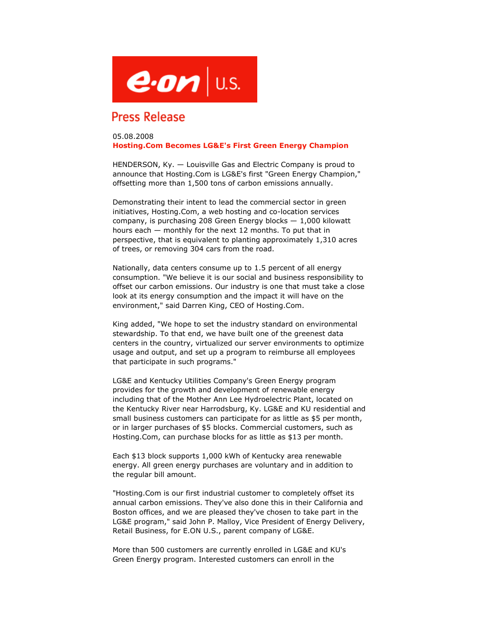

## **Press Release**

## 05.08.2008 **Hosting.Com Becomes LG&E's First Green Energy Champion**

HENDERSON, Ky. — Louisville Gas and Electric Company is proud to announce that Hosting.Com is LG&E's first "Green Energy Champion," offsetting more than 1,500 tons of carbon emissions annually.

Demonstrating their intent to lead the commercial sector in green initiatives, Hosting.Com, a web hosting and co-location services company, is purchasing 208 Green Energy blocks  $-1,000$  kilowatt hours each — monthly for the next 12 months. To put that in perspective, that is equivalent to planting approximately 1,310 acres of trees, or removing 304 cars from the road.

Nationally, data centers consume up to 1.5 percent of all energy consumption. "We believe it is our social and business responsibility to offset our carbon emissions. Our industry is one that must take a close look at its energy consumption and the impact it will have on the environment," said Darren King, CEO of Hosting.Com.

King added, "We hope to set the industry standard on environmental stewardship. To that end, we have built one of the greenest data centers in the country, virtualized our server environments to optimize usage and output, and set up a program to reimburse all employees that participate in such programs."

LG&E and Kentucky Utilities Company's Green Energy program provides for the growth and development of renewable energy including that of the Mother Ann Lee Hydroelectric Plant, located on the Kentucky River near Harrodsburg, Ky. LG&E and KU residential and small business customers can participate for as little as \$5 per month, or in larger purchases of \$5 blocks. Commercial customers, such as Hosting.Com, can purchase blocks for as little as \$13 per month.

Each \$13 block supports 1,000 kWh of Kentucky area renewable energy. All green energy purchases are voluntary and in addition to the regular bill amount.

"Hosting.Com is our first industrial customer to completely offset its annual carbon emissions. They've also done this in their California and Boston offices, and we are pleased they've chosen to take part in the LG&E program," said John P. Malloy, Vice President of Energy Delivery, Retail Business, for E.ON U.S., parent company of LG&E.

More than 500 customers are currently enrolled in LG&E and KU's Green Energy program. Interested customers can enroll in the